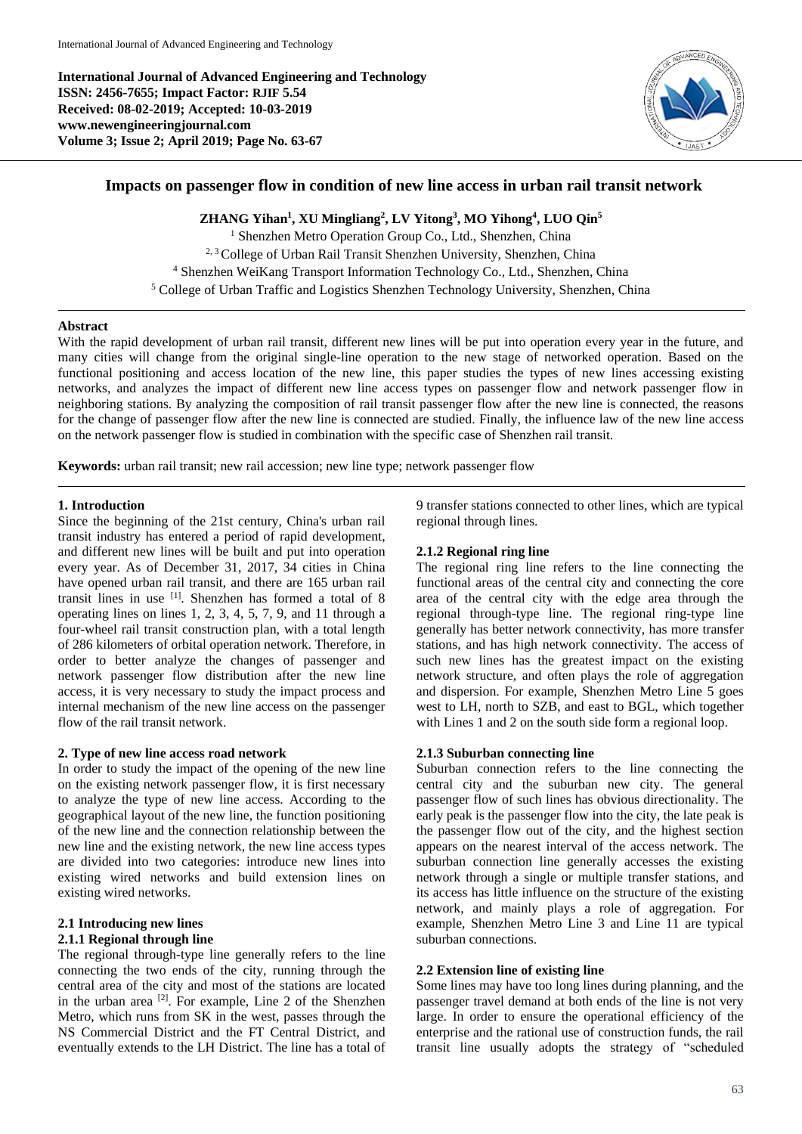**International Journal of Advanced Engineering and Technology ISSN: 2456-7655; Impact Factor: RJIF 5.54 Received: 08-02-2019; Accepted: 10-03-2019 www.newengineeringjournal.com Volume 3; Issue 2; April 2019; Page No. 63-67**



# **Impacts on passenger flow in condition of new line access in urban rail transit network**

**ZHANG Yihan<sup>1</sup> , XU Mingliang<sup>2</sup> , LV Yitong<sup>3</sup> , MO Yihong<sup>4</sup> , LUO Qin<sup>5</sup>**

<sup>1</sup> Shenzhen Metro Operation Group Co., Ltd., Shenzhen, China <sup>2, 3</sup> College of Urban Rail Transit Shenzhen University, Shenzhen, China <sup>4</sup> Shenzhen WeiKang Transport Information Technology Co., Ltd., Shenzhen, China <sup>5</sup> College of Urban Traffic and Logistics Shenzhen Technology University, Shenzhen, China

### **Abstract**

With the rapid development of urban rail transit, different new lines will be put into operation every year in the future, and many cities will change from the original single-line operation to the new stage of networked operation. Based on the functional positioning and access location of the new line, this paper studies the types of new lines accessing existing networks, and analyzes the impact of different new line access types on passenger flow and network passenger flow in neighboring stations. By analyzing the composition of rail transit passenger flow after the new line is connected, the reasons for the change of passenger flow after the new line is connected are studied. Finally, the influence law of the new line access on the network passenger flow is studied in combination with the specific case of Shenzhen rail transit.

**Keywords:** urban rail transit; new rail accession; new line type; network passenger flow

# **1. Introduction**

Since the beginning of the 21st century, China's urban rail transit industry has entered a period of rapid development, and different new lines will be built and put into operation every year. As of December 31, 2017, 34 cities in China have opened urban rail transit, and there are 165 urban rail transit lines in use [1]. Shenzhen has formed a total of 8 operating lines on lines 1, 2, 3, 4, 5, 7, 9, and 11 through a four-wheel rail transit construction plan, with a total length of 286 kilometers of orbital operation network. Therefore, in order to better analyze the changes of passenger and network passenger flow distribution after the new line access, it is very necessary to study the impact process and internal mechanism of the new line access on the passenger flow of the rail transit network.

# **2. Type of new line access road network**

In order to study the impact of the opening of the new line on the existing network passenger flow, it is first necessary to analyze the type of new line access. According to the geographical layout of the new line, the function positioning of the new line and the connection relationship between the new line and the existing network, the new line access types are divided into two categories: introduce new lines into existing wired networks and build extension lines on existing wired networks.

# **2.1 Introducing new lines**

# **2.1.1 Regional through line**

The regional through-type line generally refers to the line connecting the two ends of the city, running through the central area of the city and most of the stations are located in the urban area  $^{[2]}$ . For example, Line 2 of the Shenzhen Metro, which runs from SK in the west, passes through the NS Commercial District and the FT Central District, and eventually extends to the LH District. The line has a total of

9 transfer stations connected to other lines, which are typical regional through lines.

# **2.1.2 Regional ring line**

The regional ring line refers to the line connecting the functional areas of the central city and connecting the core area of the central city with the edge area through the regional through-type line. The regional ring-type line generally has better network connectivity, has more transfer stations, and has high network connectivity. The access of such new lines has the greatest impact on the existing network structure, and often plays the role of aggregation and dispersion. For example, Shenzhen Metro Line 5 goes west to LH, north to SZB, and east to BGL, which together with Lines 1 and 2 on the south side form a regional loop.

### **2.1.3 Suburban connecting line**

Suburban connection refers to the line connecting the central city and the suburban new city. The general passenger flow of such lines has obvious directionality. The early peak is the passenger flow into the city, the late peak is the passenger flow out of the city, and the highest section appears on the nearest interval of the access network. The suburban connection line generally accesses the existing network through a single or multiple transfer stations, and its access has little influence on the structure of the existing network, and mainly plays a role of aggregation. For example, Shenzhen Metro Line 3 and Line 11 are typical suburban connections.

# **2.2 Extension line of existing line**

Some lines may have too long lines during planning, and the passenger travel demand at both ends of the line is not very large. In order to ensure the operational efficiency of the enterprise and the rational use of construction funds, the rail transit line usually adopts the strategy of "scheduled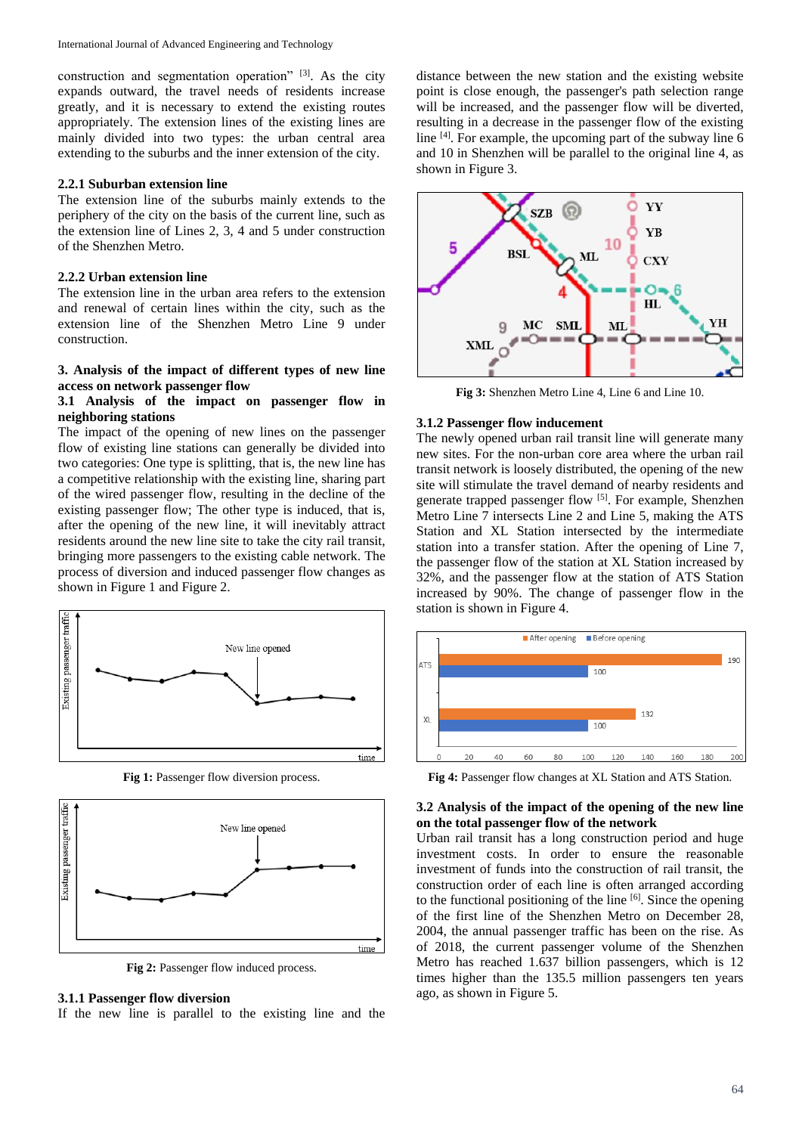construction and segmentation operation" [3]. As the city expands outward, the travel needs of residents increase greatly, and it is necessary to extend the existing routes appropriately. The extension lines of the existing lines are mainly divided into two types: the urban central area extending to the suburbs and the inner extension of the city.

# **2.2.1 Suburban extension line**

The extension line of the suburbs mainly extends to the periphery of the city on the basis of the current line, such as the extension line of Lines 2, 3, 4 and 5 under construction of the Shenzhen Metro.

### **2.2.2 Urban extension line**

The extension line in the urban area refers to the extension and renewal of certain lines within the city, such as the extension line of the Shenzhen Metro Line 9 under construction.

### **3. Analysis of the impact of different types of new line access on network passenger flow**

#### **3.1 Analysis of the impact on passenger flow in neighboring stations**

The impact of the opening of new lines on the passenger flow of existing line stations can generally be divided into two categories: One type is splitting, that is, the new line has a competitive relationship with the existing line, sharing part of the wired passenger flow, resulting in the decline of the existing passenger flow; The other type is induced, that is, after the opening of the new line, it will inevitably attract residents around the new line site to take the city rail transit, bringing more passengers to the existing cable network. The process of diversion and induced passenger flow changes as shown in Figure 1 and Figure 2.



**Fig 1:** Passenger flow diversion process.



**Fig 2:** Passenger flow induced process.

#### **3.1.1 Passenger flow diversion**

If the new line is parallel to the existing line and the

distance between the new station and the existing website point is close enough, the passenger's path selection range will be increased, and the passenger flow will be diverted, resulting in a decrease in the passenger flow of the existing line [4]. For example, the upcoming part of the subway line 6 and 10 in Shenzhen will be parallel to the original line 4, as shown in Figure 3.



**Fig 3:** Shenzhen Metro Line 4, Line 6 and Line 10.

## **3.1.2 Passenger flow inducement**

The newly opened urban rail transit line will generate many new sites. For the non-urban core area where the urban rail transit network is loosely distributed, the opening of the new site will stimulate the travel demand of nearby residents and generate trapped passenger flow <sup>[5]</sup>. For example, Shenzhen Metro Line 7 intersects Line 2 and Line 5, making the ATS Station and XL Station intersected by the intermediate station into a transfer station. After the opening of Line 7, the passenger flow of the station at XL Station increased by 32%, and the passenger flow at the station of ATS Station increased by 90%. The change of passenger flow in the station is shown in Figure 4.



**Fig 4:** Passenger flow changes at XL Station and ATS Station.

# **3.2 Analysis of the impact of the opening of the new line on the total passenger flow of the network**

Urban rail transit has a long construction period and huge investment costs. In order to ensure the reasonable investment of funds into the construction of rail transit, the construction order of each line is often arranged according to the functional positioning of the line [6]. Since the opening of the first line of the Shenzhen Metro on December 28, 2004, the annual passenger traffic has been on the rise. As of 2018, the current passenger volume of the Shenzhen Metro has reached 1.637 billion passengers, which is 12 times higher than the 135.5 million passengers ten years ago, as shown in Figure 5.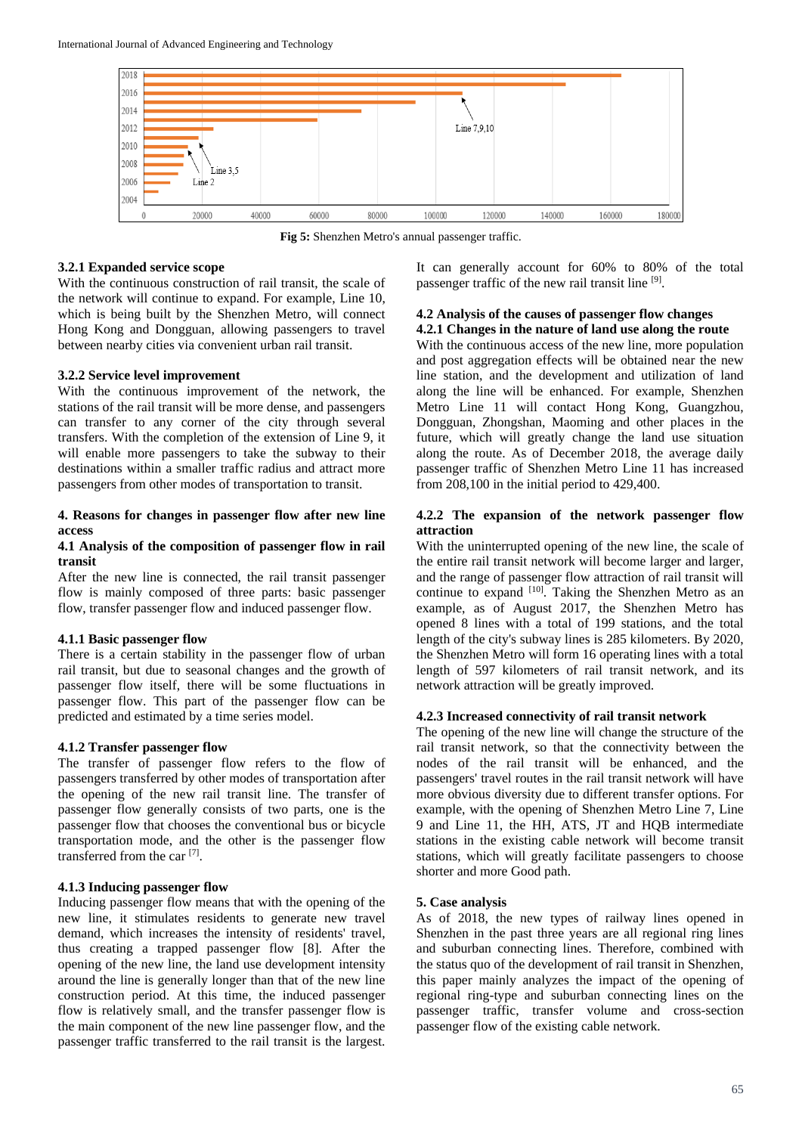

**Fig 5:** Shenzhen Metro's annual passenger traffic.

### **3.2.1 Expanded service scope**

With the continuous construction of rail transit, the scale of the network will continue to expand. For example, Line 10, which is being built by the Shenzhen Metro, will connect Hong Kong and Dongguan, allowing passengers to travel between nearby cities via convenient urban rail transit.

# **3.2.2 Service level improvement**

With the continuous improvement of the network, the stations of the rail transit will be more dense, and passengers can transfer to any corner of the city through several transfers. With the completion of the extension of Line 9, it will enable more passengers to take the subway to their destinations within a smaller traffic radius and attract more passengers from other modes of transportation to transit.

### **4. Reasons for changes in passenger flow after new line access**

### **4.1 Analysis of the composition of passenger flow in rail transit**

After the new line is connected, the rail transit passenger flow is mainly composed of three parts: basic passenger flow, transfer passenger flow and induced passenger flow.

# **4.1.1 Basic passenger flow**

There is a certain stability in the passenger flow of urban rail transit, but due to seasonal changes and the growth of passenger flow itself, there will be some fluctuations in passenger flow. This part of the passenger flow can be predicted and estimated by a time series model.

### **4.1.2 Transfer passenger flow**

The transfer of passenger flow refers to the flow of passengers transferred by other modes of transportation after the opening of the new rail transit line. The transfer of passenger flow generally consists of two parts, one is the passenger flow that chooses the conventional bus or bicycle transportation mode, and the other is the passenger flow transferred from the car [7] .

### **4.1.3 Inducing passenger flow**

Inducing passenger flow means that with the opening of the new line, it stimulates residents to generate new travel demand, which increases the intensity of residents' travel, thus creating a trapped passenger flow [8]. After the opening of the new line, the land use development intensity around the line is generally longer than that of the new line construction period. At this time, the induced passenger flow is relatively small, and the transfer passenger flow is the main component of the new line passenger flow, and the passenger traffic transferred to the rail transit is the largest.

It can generally account for 60% to 80% of the total passenger traffic of the new rail transit line [9].

# **4.2 Analysis of the causes of passenger flow changes 4.2.1 Changes in the nature of land use along the route**

With the continuous access of the new line, more population and post aggregation effects will be obtained near the new line station, and the development and utilization of land along the line will be enhanced. For example, Shenzhen Metro Line 11 will contact Hong Kong, Guangzhou, Dongguan, Zhongshan, Maoming and other places in the future, which will greatly change the land use situation along the route. As of December 2018, the average daily passenger traffic of Shenzhen Metro Line 11 has increased from 208,100 in the initial period to 429,400.

### **4.2.2 The expansion of the network passenger flow attraction**

With the uninterrupted opening of the new line, the scale of the entire rail transit network will become larger and larger, and the range of passenger flow attraction of rail transit will continue to expand <sup>[10]</sup>. Taking the Shenzhen Metro as an example, as of August 2017, the Shenzhen Metro has opened 8 lines with a total of 199 stations, and the total length of the city's subway lines is 285 kilometers. By 2020, the Shenzhen Metro will form 16 operating lines with a total length of 597 kilometers of rail transit network, and its network attraction will be greatly improved.

### **4.2.3 Increased connectivity of rail transit network**

The opening of the new line will change the structure of the rail transit network, so that the connectivity between the nodes of the rail transit will be enhanced, and the passengers' travel routes in the rail transit network will have more obvious diversity due to different transfer options. For example, with the opening of Shenzhen Metro Line 7, Line 9 and Line 11, the HH, ATS, JT and HQB intermediate stations in the existing cable network will become transit stations, which will greatly facilitate passengers to choose shorter and more Good path.

### **5. Case analysis**

As of 2018, the new types of railway lines opened in Shenzhen in the past three years are all regional ring lines and suburban connecting lines. Therefore, combined with the status quo of the development of rail transit in Shenzhen, this paper mainly analyzes the impact of the opening of regional ring-type and suburban connecting lines on the passenger traffic, transfer volume and cross-section passenger flow of the existing cable network.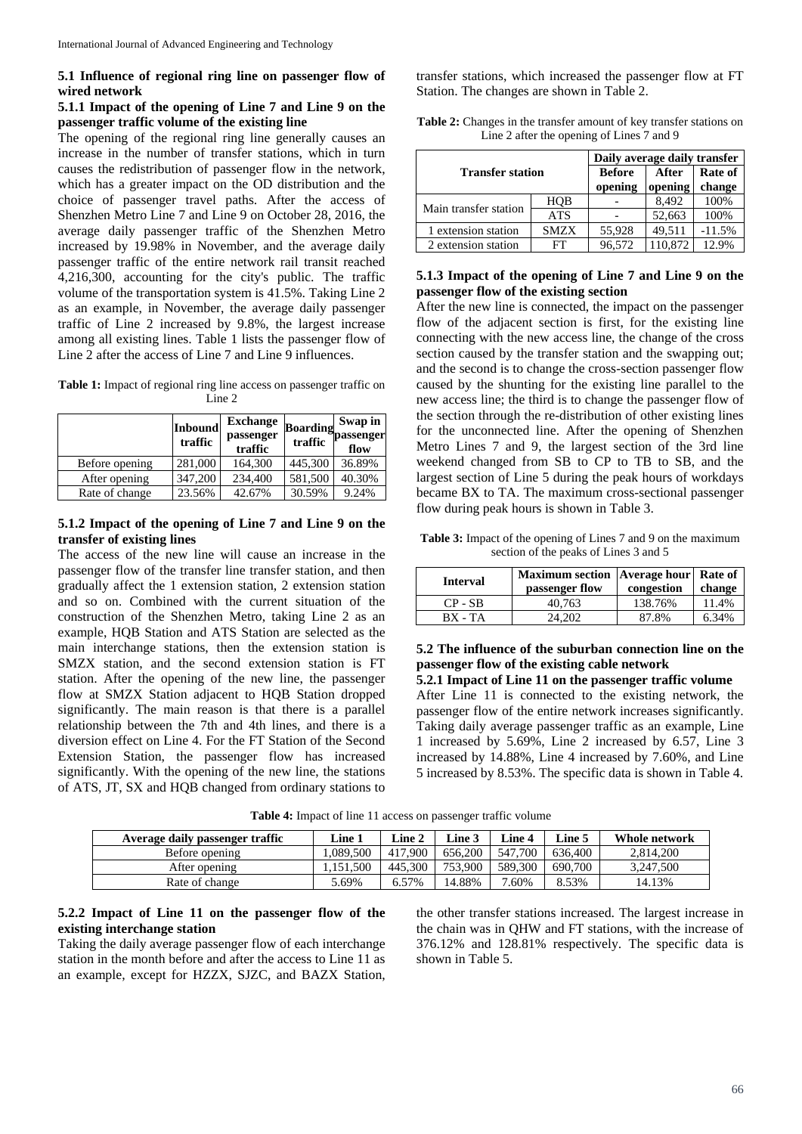**5.1 Influence of regional ring line on passenger flow of wired network**

# **5.1.1 Impact of the opening of Line 7 and Line 9 on the passenger traffic volume of the existing line**

The opening of the regional ring line generally causes an increase in the number of transfer stations, which in turn causes the redistribution of passenger flow in the network, which has a greater impact on the OD distribution and the choice of passenger travel paths. After the access of Shenzhen Metro Line 7 and Line 9 on October 28, 2016, the average daily passenger traffic of the Shenzhen Metro increased by 19.98% in November, and the average daily passenger traffic of the entire network rail transit reached 4,216,300, accounting for the city's public. The traffic volume of the transportation system is 41.5%. Taking Line 2 as an example, in November, the average daily passenger traffic of Line 2 increased by 9.8%, the largest increase among all existing lines. Table 1 lists the passenger flow of Line 2 after the access of Line 7 and Line 9 influences.

**Table 1:** Impact of regional ring line access on passenger traffic on Line 2

|                | Inbound<br>traffic | <b>Exchange</b><br>passenger<br>traffic | traffic | Swap in<br>Boarding<br>passenger<br>flow |
|----------------|--------------------|-----------------------------------------|---------|------------------------------------------|
| Before opening | 281,000            | 164,300                                 | 445,300 | 36.89%                                   |
| After opening  | 347,200            | 234,400                                 | 581,500 | 40.30%                                   |
| Rate of change | 23.56%             | 42.67%                                  | 30.59%  | 9.24%                                    |

# **5.1.2 Impact of the opening of Line 7 and Line 9 on the transfer of existing lines**

The access of the new line will cause an increase in the passenger flow of the transfer line transfer station, and then gradually affect the 1 extension station, 2 extension station and so on. Combined with the current situation of the construction of the Shenzhen Metro, taking Line 2 as an example, HQB Station and ATS Station are selected as the main interchange stations, then the extension station is SMZX station, and the second extension station is FT station. After the opening of the new line, the passenger flow at SMZX Station adjacent to HQB Station dropped significantly. The main reason is that there is a parallel relationship between the 7th and 4th lines, and there is a diversion effect on Line 4. For the FT Station of the Second Extension Station, the passenger flow has increased significantly. With the opening of the new line, the stations of ATS, JT, SX and HQB changed from ordinary stations to

transfer stations, which increased the passenger flow at FT Station. The changes are shown in Table 2.

|                         | Daily average daily transfer |                  |                   |          |
|-------------------------|------------------------------|------------------|-------------------|----------|
| <b>Transfer station</b> | <b>Before</b><br>opening     | After<br>opening | Rate of<br>change |          |
| Main transfer station   | HOB                          |                  | 8.492             | 100%     |
|                         | <b>ATS</b>                   |                  | 52,663            | 100%     |
| 1 extension station     | <b>SMZX</b>                  | 55,928           | 49.511            | $-11.5%$ |
| 2 extension station     | FT                           | 96.572           | 110.872           | 12.9%    |

Table 2: Changes in the transfer amount of key transfer stations on Line 2 after the opening of Lines 7 and 9

# **5.1.3 Impact of the opening of Line 7 and Line 9 on the passenger flow of the existing section**

After the new line is connected, the impact on the passenger flow of the adjacent section is first, for the existing line connecting with the new access line, the change of the cross section caused by the transfer station and the swapping out; and the second is to change the cross-section passenger flow caused by the shunting for the existing line parallel to the new access line; the third is to change the passenger flow of the section through the re-distribution of other existing lines for the unconnected line. After the opening of Shenzhen Metro Lines 7 and 9, the largest section of the 3rd line weekend changed from SB to CP to TB to SB, and the largest section of Line 5 during the peak hours of workdays became BX to TA. The maximum cross-sectional passenger flow during peak hours is shown in Table 3.

**Table 3:** Impact of the opening of Lines 7 and 9 on the maximum section of the peaks of Lines 3 and 5

| <b>Interval</b> | Maximum section   Average hour   Rate of<br>passenger flow | congestion | change |
|-----------------|------------------------------------------------------------|------------|--------|
| $CP - SB$       | 40.763                                                     | 138.76%    | 11.4%  |
| $BX - TA$       | 24.202                                                     | 87.8%      | 6.34%  |

# **5.2 The influence of the suburban connection line on the passenger flow of the existing cable network**

**5.2.1 Impact of Line 11 on the passenger traffic volume** After Line 11 is connected to the existing network, the passenger flow of the entire network increases significantly. Taking daily average passenger traffic as an example, Line 1 increased by 5.69%, Line 2 increased by 6.57, Line 3 increased by 14.88%, Line 4 increased by 7.60%, and Line 5 increased by 8.53%. The specific data is shown in Table 4.

**Table 4:** Impact of line 11 access on passenger traffic volume

| Average daily passenger traffic | Line 1    | Line 2  | Line 3  | <b>Line 4</b> | Line 5  | Whole network |
|---------------------------------|-----------|---------|---------|---------------|---------|---------------|
| Before opening                  | .089.500  | 417.900 | 656,200 | 547,700       | 636.400 | 2.814.200     |
| After opening                   | 1.151.500 | 445.300 | 753.900 | 589,300       | 690,700 | 3,247,500     |
| Rate of change                  | 5.69%     | 6.57%   | 14.88%  | .60%          | 8.53%   | 14.13%        |

### **5.2.2 Impact of Line 11 on the passenger flow of the existing interchange station**

Taking the daily average passenger flow of each interchange station in the month before and after the access to Line 11 as an example, except for HZZX, SJZC, and BAZX Station, the other transfer stations increased. The largest increase in the chain was in QHW and FT stations, with the increase of 376.12% and 128.81% respectively. The specific data is shown in Table 5.